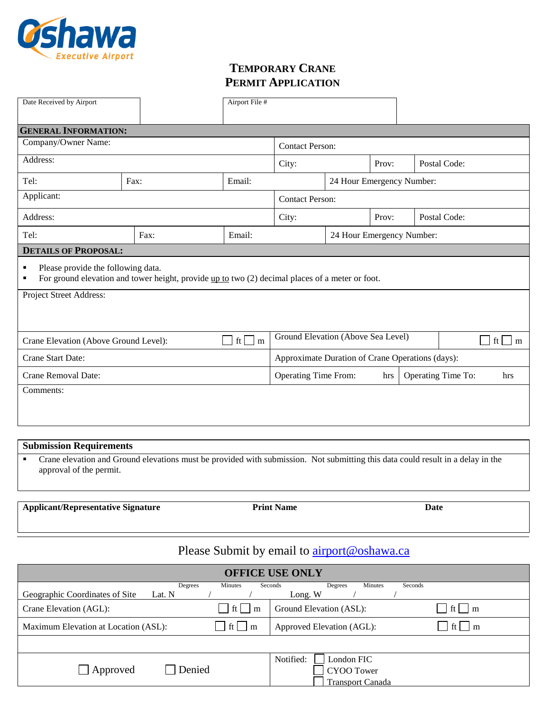

## **TEMPORARY CRANE PERMIT APPLICATION**

| Date Received by Airport                                                                                                                        |      |                                                                 | Airport File # |                                                  |       |  |                                                 |              |  |  |
|-------------------------------------------------------------------------------------------------------------------------------------------------|------|-----------------------------------------------------------------|----------------|--------------------------------------------------|-------|--|-------------------------------------------------|--------------|--|--|
| <b>GENERAL INFORMATION:</b>                                                                                                                     |      |                                                                 |                |                                                  |       |  |                                                 |              |  |  |
| Company/Owner Name:                                                                                                                             |      |                                                                 |                | <b>Contact Person:</b>                           |       |  |                                                 |              |  |  |
| Address:                                                                                                                                        |      |                                                                 |                | City:                                            | Prov: |  | Postal Code:                                    |              |  |  |
| Tel:                                                                                                                                            | Fax: |                                                                 | Email:         | 24 Hour Emergency Number:                        |       |  |                                                 |              |  |  |
| Applicant:                                                                                                                                      |      |                                                                 |                | <b>Contact Person:</b>                           |       |  |                                                 |              |  |  |
| Address:                                                                                                                                        |      |                                                                 |                | City:                                            | Prov: |  |                                                 | Postal Code: |  |  |
| Tel:                                                                                                                                            |      | Fax:                                                            | Email:         | 24 Hour Emergency Number:                        |       |  |                                                 |              |  |  |
| <b>DETAILS OF PROPOSAL:</b>                                                                                                                     |      |                                                                 |                |                                                  |       |  |                                                 |              |  |  |
| Please provide the following data.<br>٠<br>For ground elevation and tower height, provide up to two (2) decimal places of a meter or foot.<br>٠ |      |                                                                 |                |                                                  |       |  |                                                 |              |  |  |
| Project Street Address:                                                                                                                         |      |                                                                 |                |                                                  |       |  |                                                 |              |  |  |
| ft<br>Crane Elevation (Above Ground Level):<br>$\blacksquare$<br>m                                                                              |      |                                                                 |                | Ground Elevation (Above Sea Level)               |       |  | $\vert \cdot \vert$ ft $\vert \cdot \vert$<br>m |              |  |  |
| Crane Start Date:                                                                                                                               |      |                                                                 |                | Approximate Duration of Crane Operations (days): |       |  |                                                 |              |  |  |
| Crane Removal Date:                                                                                                                             |      | <b>Operating Time From:</b><br>Operating Time To:<br>hrs<br>hrs |                |                                                  |       |  |                                                 |              |  |  |
| Comments:                                                                                                                                       |      |                                                                 |                |                                                  |       |  |                                                 |              |  |  |

### **Submission Requirements**

**•** Crane elevation and Ground elevations must be provided with submission. Not submitting this data could result in a delay in the approval of the permit.

**Applicant/Representative Signature Print Name**

**Date**

# Please Submit by email to **airport@oshawa.ca**

| <b>OFFICE USE ONLY</b>                                                                                                              |                                                                  |  |  |  |  |  |  |  |  |
|-------------------------------------------------------------------------------------------------------------------------------------|------------------------------------------------------------------|--|--|--|--|--|--|--|--|
| <b>Minutes</b><br>Seconds<br>Seconds<br>Degrees<br><b>Minutes</b><br>Degrees<br>Geographic Coordinates of Site<br>Lat. N<br>Long. W |                                                                  |  |  |  |  |  |  |  |  |
| ft <sub>l</sub><br>Crane Elevation (AGL):<br>m                                                                                      | Ground Elevation (ASL):<br>m                                     |  |  |  |  |  |  |  |  |
| ft l<br>Maximum Elevation at Location (ASL):<br>$\mathsf{m}$                                                                        | Approved Elevation (AGL):<br>m                                   |  |  |  |  |  |  |  |  |
|                                                                                                                                     |                                                                  |  |  |  |  |  |  |  |  |
| Denied<br>Approved                                                                                                                  | Notified:<br>London FIC<br>CYOO Tower<br><b>Transport Canada</b> |  |  |  |  |  |  |  |  |